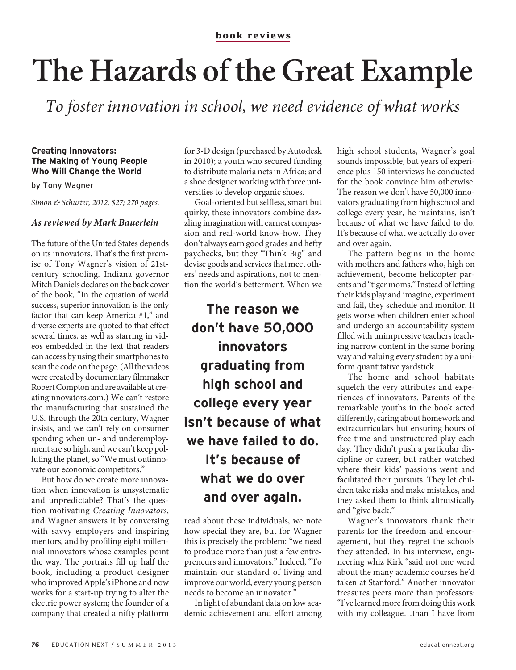## **The Hazards of the Great Example**

To foster innovation in school, we need evidence of what works

## **Creating Innovators: The Making of Young People Who Will Change the World**

by Tony Wagner

Simon & Schuster, 2012, \$27; 270 pages.

## **As reviewed by Mark Bauerlein**

The future of the United States depends on its innovators. That's the first premise of Tony Wagner's vision of 21stcentury schooling. Indiana governor Mitch Daniels declares on the back cover of the book, "In the equation of world success, superior innovation is the only factor that can keep America #1," and diverse experts are quoted to that effect several times, as well as starring in videos embedded in the text that readers can access by using their smartphones to scan the code on the page. (All the videos were created by documentary filmmaker Robert Compton and are available at creatinginnovators.com.) We can't restore the manufacturing that sustained the U.S. through the 20th century, Wagner insists, and we can't rely on consumer spending when un- and underemployment are so high, and we can't keep polluting the planet, so "We must outinnovate our economic competitors."

But how do we create more innovation when innovation is unsystematic and unpredictable? That's the question motivating Creating Innovators, and Wagner answers it by conversing with savvy employers and inspiring mentors, and by profiling eight millennial innovators whose examples point the way. The portraits fill up half the book, including a product designer who improved Apple's iPhone and now works for a start-up trying to alter the electric power system; the founder of a company that created a nifty platform

for 3-D design (purchased by Autodesk in 2010); a youth who secured funding to distribute malaria nets in Africa; and a shoe designer working with three universities to develop organic shoes.

Goal-oriented but selfless, smart but quirky, these innovators combine dazzling imagination with earnest compassion and real-world know-how. They don't always earn good grades and hefty paychecks, but they "Think Big" and devise goods and services that meet others' needs and aspirations, not to mention the world's betterment. When we

**The reason we don't have 50,000 innovators graduating from high school and college every year isn't because of what we have failed to do. It's because of what we do over and over again.**

read about these individuals, we note how special they are, but for Wagner this is precisely the problem: "we need to produce more than just a few entrepreneurs and innovators." Indeed, "To maintain our standard of living and improve our world, every young person needs to become an innovator."

In light of abundant data on low academic achievement and effort among high school students, Wagner's goal sounds impossible, but years of experience plus 150 interviews he conducted for the book convince him otherwise. The reason we don't have 50,000 innovators graduating from high school and college every year, he maintains, isn't because of what we have failed to do. It's because of what we actually do over and over again.

The pattern begins in the home with mothers and fathers who, high on achievement, become helicopter parents and "tiger moms." Instead of letting their kids play and imagine, experiment and fail, they schedule and monitor. It gets worse when children enter school and undergo an accountability system filled with unimpressive teachers teaching narrow content in the same boring way and valuing every student by a uniform quantitative yardstick.

The home and school habitats squelch the very attributes and experiences of innovators. Parents of the remarkable youths in the book acted differently, caring about homework and extracurriculars but ensuring hours of free time and unstructured play each day. They didn't push a particular discipline or career, but rather watched where their kids' passions went and facilitated their pursuits. They let children take risks and make mistakes, and they asked them to think altruistically and "give back."

Wagner's innovators thank their parents for the freedom and encouragement, but they regret the schools they attended. In his interview, engineering whiz Kirk "said not one word about the many academic courses he'd taken at Stanford." Another innovator treasures peers more than professors: "I've learned more from doing this work with my colleague…than I have from